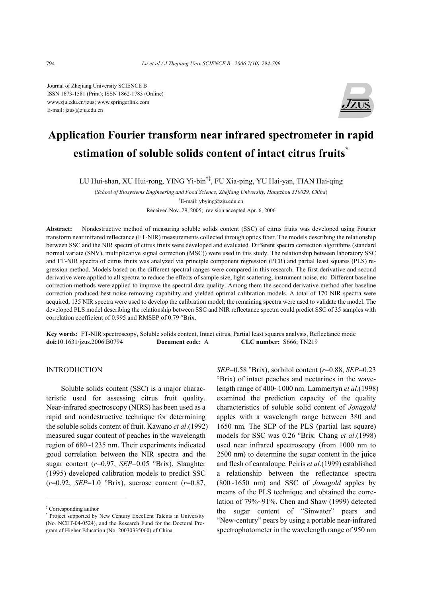Journal of Zhejiang University SCIENCE B ISSN 1673-1581 (Print); ISSN 1862-1783 (Online) www.zju.edu.cn/jzus; www.springerlink.com E-mail: jzus@zju.edu.cn



# **Application Fourier transform near infrared spectrometer in rapid estimation of soluble solids content of intact citrus fruits\***

LU Hui-shan, XU Hui-rong, YING Yi-bin†‡, FU Xia-ping, YU Hai-yan, TIAN Hai-qing

(*School of Biosystems Engineering and Food Science, Zhejiang University, Hangzhou 310029, China*) † E-mail: ybying@zju.edu.cn Received Nov. 29, 2005; revision accepted Apr. 6, 2006

**Abstract:** Nondestructive method of measuring soluble solids content (SSC) of citrus fruits was developed using Fourier transform near infrared reflectance (FT-NIR) measurements collected through optics fiber. The models describing the relationship between SSC and the NIR spectra of citrus fruits were developed and evaluated. Different spectra correction algorithms (standard normal variate (SNV), multiplicative signal correction (MSC)) were used in this study. The relationship between laboratory SSC and FT-NIR spectra of citrus fruits was analyzed via principle component regression (PCR) and partial least squares (PLS) regression method. Models based on the different spectral ranges were compared in this research. The first derivative and second derivative were applied to all spectra to reduce the effects of sample size, light scattering, instrument noise, etc. Different baseline correction methods were applied to improve the spectral data quality. Among them the second derivative method after baseline correction produced best noise removing capability and yielded optimal calibration models. A total of 170 NIR spectra were acquired; 135 NIR spectra were used to develop the calibration model; the remaining spectra were used to validate the model. The developed PLS model describing the relationship between SSC and NIR reflectance spectra could predict SSC of 35 samples with correlation coefficient of 0.995 and RMSEP of 0.79 °Brix.

**Key words:** FT-NIR spectroscopy, Soluble solids content, Intact citrus, Partial least squares analysis, Reflectance mode **doi:**10.1631/jzus.2006.B0794 **Document code:** A **CLC number:** S666; TN219

# INTRODUCTION

Soluble solids content (SSC) is a major characteristic used for assessing citrus fruit quality. Near-infrared spectroscopy (NIRS) has been used as a rapid and nondestructive technique for determining the soluble solids content of fruit. Kawano *et al*.(1992) measured sugar content of peaches in the wavelength region of 680~1235 nm. Their experiments indicated good correlation between the NIR spectra and the sugar content (*r*=0.97, *SEP*=0.05 °Brix). Slaughter (1995) developed calibration models to predict SSC (*r*=0.92, *SEP*=1.0 °Brix), sucrose content (*r*=0.87,

*SEP*=0.58 °Brix), sorbitol content (*r*=0.88, *SEP*=0.23 °Brix) of intact peaches and nectarines in the wavelength range of 400~1000 nm. Lammertyn *et al*.(1998) examined the prediction capacity of the quality characteristics of soluble solid content of *Jonagold* apples with a wavelength range between 380 and 1650 nm. The SEP of the PLS (partial last square) models for SSC was 0.26 °Brix. Chang *et al*.(1998) used near infrared spectroscopy (from 1000 nm to 2500 nm) to determine the sugar content in the juice and flesh of cantaloupe. Peiris *et al*.(1999) established a relationship between the reflectance spectra (800~1650 nm) and SSC of *Jonagold* apples by means of the PLS technique and obtained the correlation of 79%~91%. Chen and Shaw (1999) detected the sugar content of "Sinwater" pears and "New-century" pears by using a portable near-infrared spectrophotometer in the wavelength range of 950 nm

<sup>‡</sup> Corresponding author

<sup>\*</sup> Project supported by New Century Excellent Talents in University (No. NCET-04-0524), and the Research Fund for the Doctoral Program of Higher Education (No. 20030335060) of China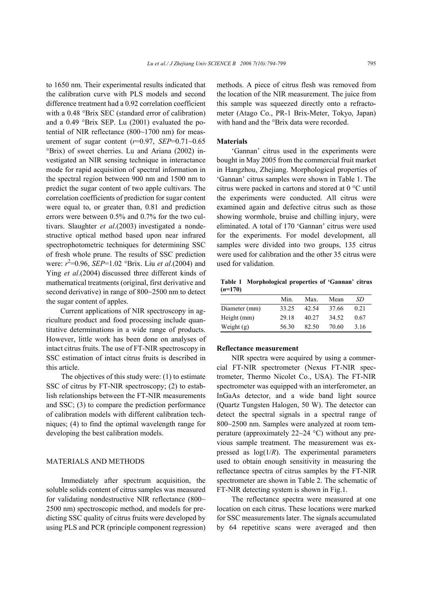to 1650 nm. Their experimental results indicated that the calibration curve with PLS models and second difference treatment had a 0.92 correlation coefficient with a 0.48 °Brix SEC (standard error of calibration) and a 0.49 °Brix SEP. Lu (2001) evaluated the potential of NIR reflectance (800~1700 nm) for measurement of sugar content (*r*=0.97, *SEP*=0.71~0.65 °Brix) of sweet cherries. Lu and Ariana (2002) investigated an NIR sensing technique in interactance mode for rapid acquisition of spectral information in the spectral region between 900 nm and 1500 nm to predict the sugar content of two apple cultivars. The correlation coefficients of prediction for sugar content were equal to, or greater than, 0.81 and prediction errors were between 0.5% and 0.7% for the two cultivars. Slaughter *et al*.(2003) investigated a nondestructive optical method based upon near infrared spectrophotometric techniques for determining SSC of fresh whole prune. The results of SSC prediction were: *r* 2 =0.96, *SEP*=1.02 °Brix. Liu *et al*.(2004) and Ying *et al*.(2004) discussed three different kinds of mathematical treatments (original, first derivative and second derivative) in range of 800~2500 nm to detect the sugar content of apples.

Current applications of NIR spectroscopy in agriculture product and food processing include quantitative determinations in a wide range of products. However, little work has been done on analyses of intact citrus fruits. The use of FT-NIR spectroscopy in SSC estimation of intact citrus fruits is described in this article.

The objectives of this study were: (1) to estimate SSC of citrus by FT-NIR spectroscopy; (2) to establish relationships between the FT-NIR measurements and SSC; (3) to compare the prediction performance of calibration models with different calibration techniques; (4) to find the optimal wavelength range for developing the best calibration models.

## MATERIALS AND METHODS

Immediately after spectrum acquisition, the soluble solids content of citrus samples was measured for validating nondestructive NIR reflectance (800~ 2500 nm) spectroscopic method, and models for predicting SSC quality of citrus fruits were developed by using PLS and PCR (principle component regression) methods. A piece of citrus flesh was removed from the location of the NIR measurement. The juice from this sample was squeezed directly onto a refractometer (Atago Co., PR-1 Brix-Meter, Tokyo, Japan) with hand and the <sup>o</sup>Brix data were recorded.

#### **Materials**

'Gannan' citrus used in the experiments were bought in May 2005 from the commercial fruit market in Hangzhou, Zhejiang. Morphological properties of 'Gannan' citrus samples were shown in Table 1. The citrus were packed in cartons and stored at 0 °C until the experiments were conducted. All citrus were examined again and defective citrus such as those showing wormhole, bruise and chilling injury, were eliminated. A total of 170 'Gannan' citrus were used for the experiments. For model development, all samples were divided into two groups, 135 citrus were used for calibration and the other 35 citrus were used for validation.

**Table 1 Morphological properties of 'Gannan' citrus**   $(n=170)$ 

|               | Min   | Max.  | Mean  | SD   |
|---------------|-------|-------|-------|------|
| Diameter (mm) | 33.25 | 42.54 | 37.66 | 0.21 |
| Height (mm)   | 29.18 | 40.27 | 34.52 | 0.67 |
| Weight $(g)$  | 56.30 | 82.50 | 70.60 | 3 16 |

#### **Reflectance measurement**

NIR spectra were acquired by using a commercial FT-NIR spectrometer (Nexus FT-NIR spectrometer, Thermo Nicolet Co., USA). The FT-NIR spectrometer was equipped with an interferometer, an InGaAs detector, and a wide band light source (Quartz Tungsten Halogen, 50 W). The detector can detect the spectral signals in a spectral range of 800~2500 nm. Samples were analyzed at room temperature (approximately  $22{\sim}24$  °C) without any previous sample treatment. The measurement was expressed as  $log(1/R)$ . The experimental parameters used to obtain enough sensitivity in measuring the reflectance spectra of citrus samples by the FT-NIR spectrometer are shown in Table 2. The schematic of FT-NIR detecting system is shown in Fig.1.

The reflectance spectra were measured at one location on each citrus. These locations were marked for SSC measurements later. The signals accumulated by 64 repetitive scans were averaged and then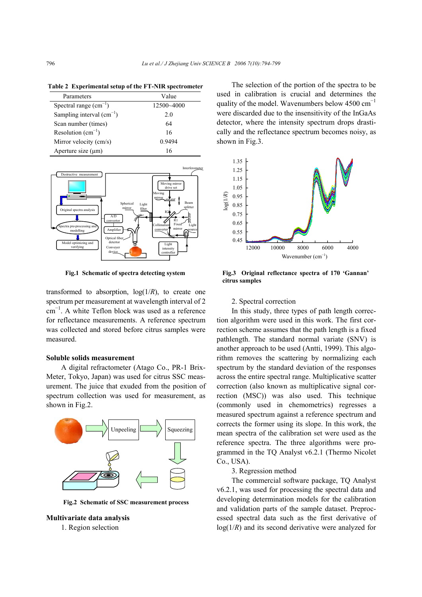|  | Table 2 Experimental setup of the FT-NIR spectrometer |  |  |  |
|--|-------------------------------------------------------|--|--|--|
|--|-------------------------------------------------------|--|--|--|

| Parameters                    | Value          |
|-------------------------------|----------------|
| Spectral range $(cm^{-1})$    | $12500 - 4000$ |
| Sampling interval $(cm^{-1})$ | 2.0            |
| Scan number (times)           | 64             |
| Resolution $(cm^{-1})$        | 16             |
| Mirror velocity (cm/s)        | 0.9494         |
| Aperture size $(\mu m)$       | 16             |



**Fig.1 Schematic of spectra detecting system** 

transformed to absorption,  $log(1/R)$ , to create one spectrum per measurement at wavelength interval of 2 cm<sup>−</sup><sup>1</sup> . A white Teflon block was used as a reference for reflectance measurements. A reference spectrum was collected and stored before citrus samples were measured.

#### **Soluble solids measurement**

A digital refractometer (Atago Co., PR-1 Brix-Meter, Tokyo, Japan) was used for citrus SSC measurement. The juice that exuded from the position of spectrum collection was used for measurement, as shown in Fig.2.



**Fig.2 Schematic of SSC measurement process** 

# **Multivariate data analysis**

1. Region selection

The selection of the portion of the spectra to be used in calibration is crucial and determines the quality of the model. Wavenumbers below 4500 cm<sup>-1</sup> were discarded due to the insensitivity of the InGaAs detector, where the intensity spectrum drops drastically and the reflectance spectrum becomes noisy, as shown in Fig.3.



**Fig.3 Original reflectance spectra of 170 'Gannan' citrus samples** 

#### 2. Spectral correction

In this study, three types of path length correction algorithm were used in this work. The first correction scheme assumes that the path length is a fixed pathlength. The standard normal variate (SNV) is another approach to be used (Antti, 1999). This algorithm removes the scattering by normalizing each spectrum by the standard deviation of the responses across the entire spectral range. Multiplicative scatter correction (also known as multiplicative signal correction (MSC)) was also used. This technique (commonly used in chemometrics) regresses a measured spectrum against a reference spectrum and corrects the former using its slope. In this work, the mean spectra of the calibration set were used as the reference spectra. The three algorithms were programmed in the TQ Analyst v6.2.1 (Thermo Nicolet Co., USA).

3. Regression method

The commercial software package, TQ Analyst v6.2.1, was used for processing the spectral data and developing determination models for the calibration and validation parts of the sample dataset. Preprocessed spectral data such as the first derivative of log(1/*R*) and its second derivative were analyzed for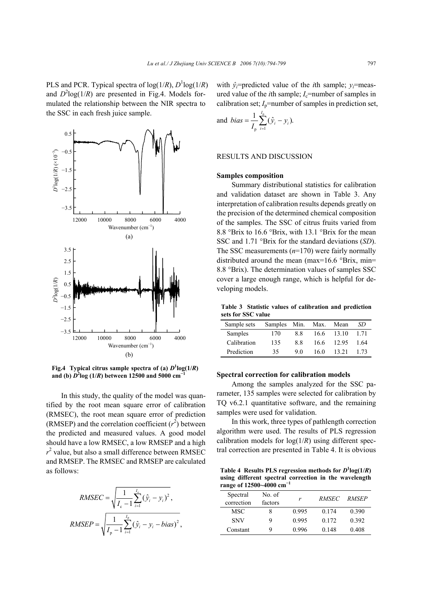PLS and PCR. Typical spectra of  $log(1/R)$ ,  $D^1log(1/R)$ and  $D^2$ log(1/*R*) are presented in Fig.4. Models formulated the relationship between the NIR spectra to the SSC in each fresh juice sample.



**Fig.4** Typical citrus sample spectra of (a)  $D^1$ log(1/*R*) **and (b)**  $D^2$ **log (1/***R***) between 12500 and 5000 cm<sup>-1</sup>** 

In this study, the quality of the model was quantified by the root mean square error of calibration (RMSEC), the root mean square error of prediction (RMSEP) and the correlation coefficient  $(r^2)$  between the predicted and measured values. A good model should have a low RMSEC, a low RMSEP and a high  $r<sup>2</sup>$  value, but also a small difference between RMSEC and RMSEP. The RMSEC and RMSEP are calculated as follows:

RMSEC = 
$$
\sqrt{\frac{1}{I_c - 1} \sum_{i=1}^{I_c} (\hat{y}_i - y_i)^2}
$$
,  
\nRMSEP =  $\sqrt{\frac{1}{I_p - 1} \sum_{i=1}^{I_p} (\hat{y}_i - y_i - bias)^2}$ ,

with  $\hat{y}_i$ =predicted value of the *i*th sample;  $y_i$ =measured value of the *i*th sample;  $I_c$ =number of samples in calibration set;  $I_p$ =number of samples in prediction set,

and 
$$
bias = \frac{1}{I_p} \sum_{i=1}^{I_p} (\hat{y}_i - y_i).
$$

# RESULTS AND DISCUSSION

## **Samples composition**

Summary distributional statistics for calibration and validation dataset are shown in Table 3. Any interpretation of calibration results depends greatly on the precision of the determined chemical composition of the samples. The SSC of citrus fruits varied from 8.8 °Brix to 16.6 °Brix, with 13.1 °Brix for the mean SSC and 1.71 °Brix for the standard deviations (*SD*). The SSC measurements (*n*=170) were fairly normally distributed around the mean (max=16.6 °Brix, min= 8.8 °Brix). The determination values of samples SSC cover a large enough range, which is helpful for developing models.

**Table 3 Statistic values of calibration and prediction sets for SSC value** 

| Sample sets | <b>Samples</b> | Min. | Max. | Mean  | SD    |
|-------------|----------------|------|------|-------|-------|
| Samples     | 170            | 88   | 16.6 | 13.10 | 1 7 1 |
| Calibration | 135            | 88   | 16.6 | 12.95 | 1.64  |
| Prediction  | 35             | 90   | 16 0 | 13 21 | 1 73  |

#### **Spectral correction for calibration models**

Among the samples analyzed for the SSC parameter, 135 samples were selected for calibration by TQ v6.2.1 quantitative software, and the remaining samples were used for validation.

In this work, three types of pathlength correction algorithm were used. The results of PLS regression calibration models for  $log(1/R)$  using different spectral correction are presented in Table 4. It is obvious

Table 4 Results PLS regression methods for  $D^1$ log(1/*R*) using different spectral correction in the wavelength **range of 12500~4000 cm<sup>−</sup><sup>1</sup>**

| Spectral<br>correction | No. of<br>factors | r     | <i>RMSEC</i> | RMSEP |
|------------------------|-------------------|-------|--------------|-------|
| MSC                    |                   | 0.995 | 0.174        | 0.390 |
| <b>SNV</b>             | Q                 | 0.995 | 0.172        | 0.392 |
| Constant               | 9                 | 0.996 | 0.148        | 0.408 |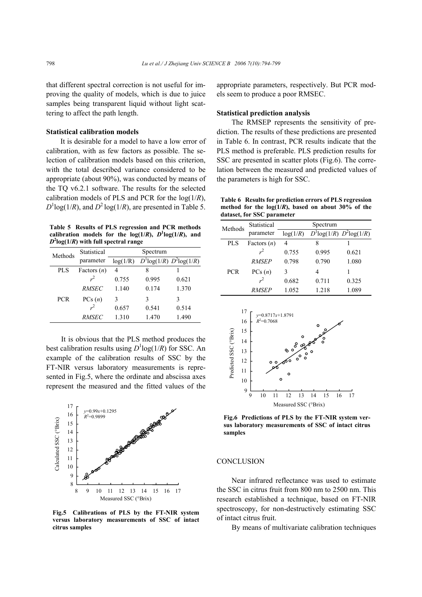that different spectral correction is not useful for improving the quality of models, which is due to juice samples being transparent liquid without light scattering to affect the path length.

# **Statistical calibration models**

It is desirable for a model to have a low error of calibration, with as few factors as possible. The selection of calibration models based on this criterion, with the total described variance considered to be appropriate (about 90%), was conducted by means of the TQ v6.2.1 software. The results for the selected calibration models of PLS and PCR for the log(1/*R*),  $D^1$ log(1/*R*), and  $D^2$ log(1/*R*), are presented in Table 5.

**Table 5 Results of PLS regression and PCR methods**  calibration models for the  $log(1/R)$ ,  $D^{1}log(1/R)$ , and  $D^2$ log(1/*R*) with full spectral range

| Methods    | Statistical   | Spectrum |       |                                   |  |
|------------|---------------|----------|-------|-----------------------------------|--|
|            | parameter     | log(1/R) |       | $D^{1}$ log(1/R) $D^{2}$ log(1/R) |  |
| <b>PLS</b> | Factors $(n)$ | 4        | 8     |                                   |  |
|            |               | 0.755    | 0.995 | 0.621                             |  |
|            | <i>RMSEC</i>  | 1.140    | 0.174 | 1.370                             |  |
| <b>PCR</b> | PCs(n)        | 3        | 3     | ٩                                 |  |
|            |               | 0.657    | 0.541 | 0.514                             |  |
|            | <i>RMSEC</i>  | 1.310    | 1.470 | 1.490                             |  |

It is obvious that the PLS method produces the best calibration results using  $D^1$ log( $1/R$ ) for SSC. An example of the calibration results of SSC by the FT-NIR versus laboratory measurements is represented in Fig.5, where the ordinate and abscissa axes represent the measured and the fitted values of the



**Fig.5 Calibrations of PLS by the FT-NIR system versus laboratory measurements of SSC of intact citrus samples** 

appropriate parameters, respectively. But PCR models seem to produce a poor RMSEC.

#### **Statistical prediction analysis**

The RMSEP represents the sensitivity of prediction. The results of these predictions are presented in Table 6. In contrast, PCR results indicate that the PLS method is preferable. PLS prediction results for SSC are presented in scatter plots (Fig.6). The correlation between the measured and predicted values of the parameters is high for SSC.

**Table 6 Results for prediction errors of PLS regression method for the log(1/***R***), based on about 30% of the dataset, for SSC parameter** 

| Methods    | Statistical    | Spectrum |                                   |       |  |  |
|------------|----------------|----------|-----------------------------------|-------|--|--|
|            | parameter      | log(1/R) | $D^{1}$ log(1/R) $D^{2}$ log(1/R) |       |  |  |
| <b>PLS</b> | Factors $(n)$  | 4        | 8                                 |       |  |  |
|            | $\mathbf{r}^2$ | 0.755    | 0.995                             | 0.621 |  |  |
|            | <b>RMSEP</b>   | 0.798    | 0.790                             | 1.080 |  |  |
| <b>PCR</b> | PCs(n)         | 3        | 4                                 |       |  |  |
|            | $\sim$         | 0.682    | 0.711                             | 0.325 |  |  |
|            | <i>RMSEP</i>   | 1.052    | 1.218                             | 1.089 |  |  |
|            |                |          |                                   |       |  |  |



**Fig.6 Predictions of PLS by the FT-NIR system versus laboratory measurements of SSC of intact citrus samples** 

## **CONCLUSION**

Near infrared reflectance was used to estimate the SSC in citrus fruit from 800 nm to 2500 nm. This research established a technique, based on FT-NIR spectroscopy, for non-destructively estimating SSC of intact citrus fruit.

By means of multivariate calibration techniques